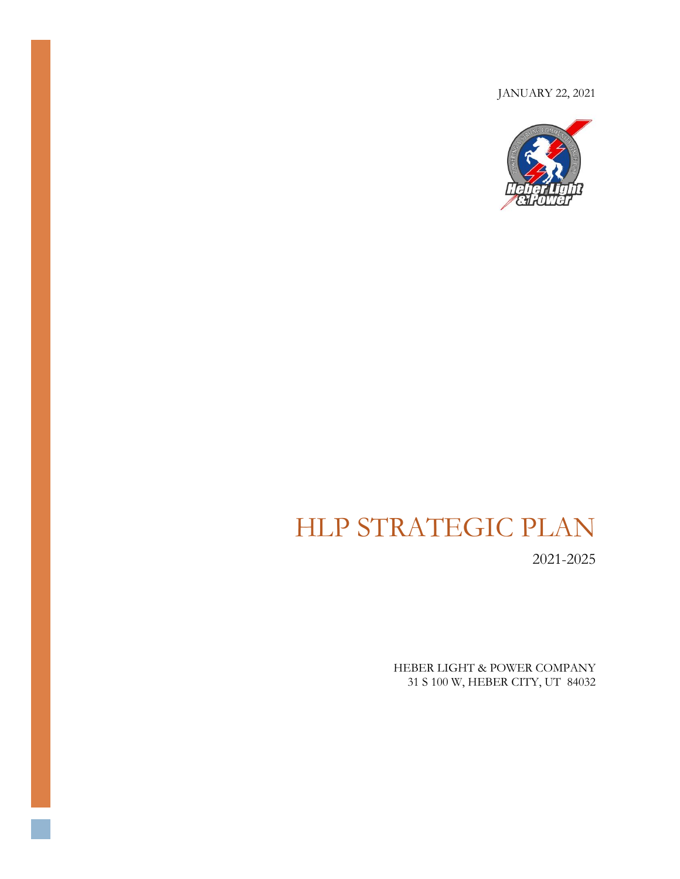JANUARY 22, 2021



# HLP STRATEGIC PLAN

2021-2025

HEBER LIGHT & POWER COMPANY 31 S 100 W, HEBER CITY, UT 84032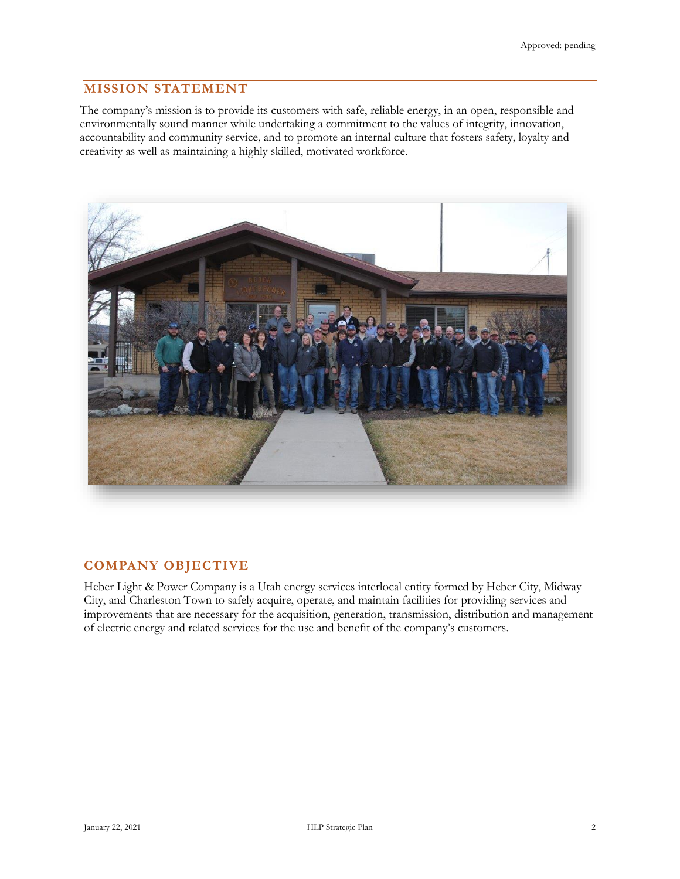# **MISSION STATEMENT**

The company's mission is to provide its customers with safe, reliable energy, in an open, responsible and environmentally sound manner while undertaking a commitment to the values of integrity, innovation, accountability and community service, and to promote an internal culture that fosters safety, loyalty and creativity as well as maintaining a highly skilled, motivated workforce.



# **COMPANY OBJECTIVE**

Heber Light & Power Company is a Utah energy services interlocal entity formed by Heber City, Midway City, and Charleston Town to safely acquire, operate, and maintain facilities for providing services and improvements that are necessary for the acquisition, generation, transmission, distribution and management of electric energy and related services for the use and benefit of the company's customers.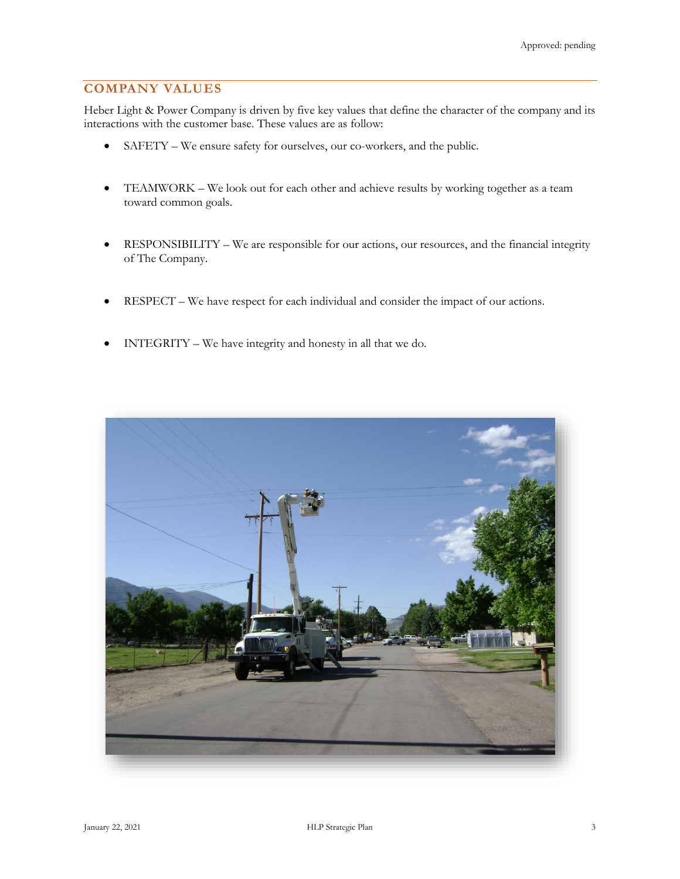# **COMPANY VALUES**

Heber Light & Power Company is driven by five key values that define the character of the company and its interactions with the customer base. These values are as follow:

- SAFETY We ensure safety for ourselves, our co-workers, and the public.
- TEAMWORK We look out for each other and achieve results by working together as a team toward common goals.
- RESPONSIBILITY We are responsible for our actions, our resources, and the financial integrity of The Company.
- RESPECT We have respect for each individual and consider the impact of our actions.
- INTEGRITY We have integrity and honesty in all that we do.

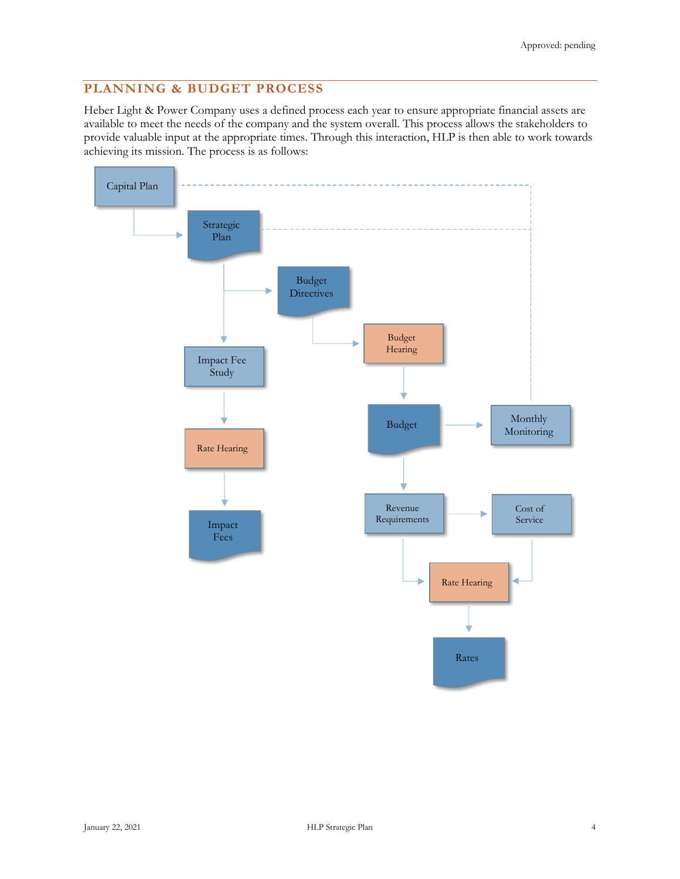# **PLANNING & BUDGET PROCESS**

Heber Light & Power Company uses a defined process each year to ensure appropriate financial assets are available to meet the needs of the company and the system overall. This process allows the stakeholders to provide valuable input at the appropriate times. Through this interaction, HLP is then able to work towards achieving its mission. The process is as follows:

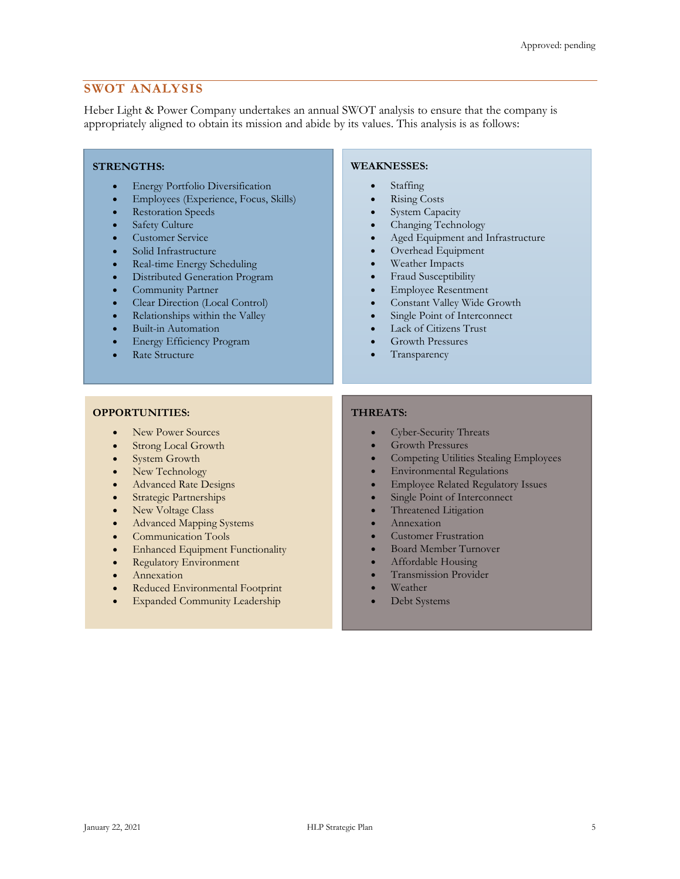## **SWOT ANALYSIS**

Heber Light & Power Company undertakes an annual SWOT analysis to ensure that the company is appropriately aligned to obtain its mission and abide by its values. This analysis is as follows:

#### **STRENGTHS:**

- Energy Portfolio Diversification
- Employees (Experience, Focus, Skills)
- Restoration Speeds
- Safety Culture
- Customer Service
- Solid Infrastructure
- Real-time Energy Scheduling
- Distributed Generation Program
- Community Partner
- Clear Direction (Local Control)
- Relationships within the Valley
- Built-in Automation
- Energy Efficiency Program
- Rate Structure

#### **WEAKNESSES:**

- Staffing
- **Rising Costs**
- System Capacity
- Changing Technology
- Aged Equipment and Infrastructure
- Overhead Equipment
- Weather Impacts
- Fraud Susceptibility
- Employee Resentment
- Constant Valley Wide Growth
- Single Point of Interconnect
- Lack of Citizens Trust
- Growth Pressures
- **Transparency**

#### **OPPORTUNITIES:**

- New Power Sources
- Strong Local Growth
- System Growth
- New Technology
- Advanced Rate Designs
- Strategic Partnerships
- New Voltage Class
- Advanced Mapping Systems
- Communication Tools
- **Enhanced Equipment Functionality**
- Regulatory Environment
- Annexation
- Reduced Environmental Footprint
- **Expanded Community Leadership**

#### **THREATS:**

- Cyber-Security Threats
- Growth Pressures
- Competing Utilities Stealing Employees
- Environmental Regulations
- Employee Related Regulatory Issues
- Single Point of Interconnect
- Threatened Litigation
- Annexation
- Customer Frustration
- Board Member Turnover
- Affordable Housing
- Transmission Provider
- Weather
- Debt Systems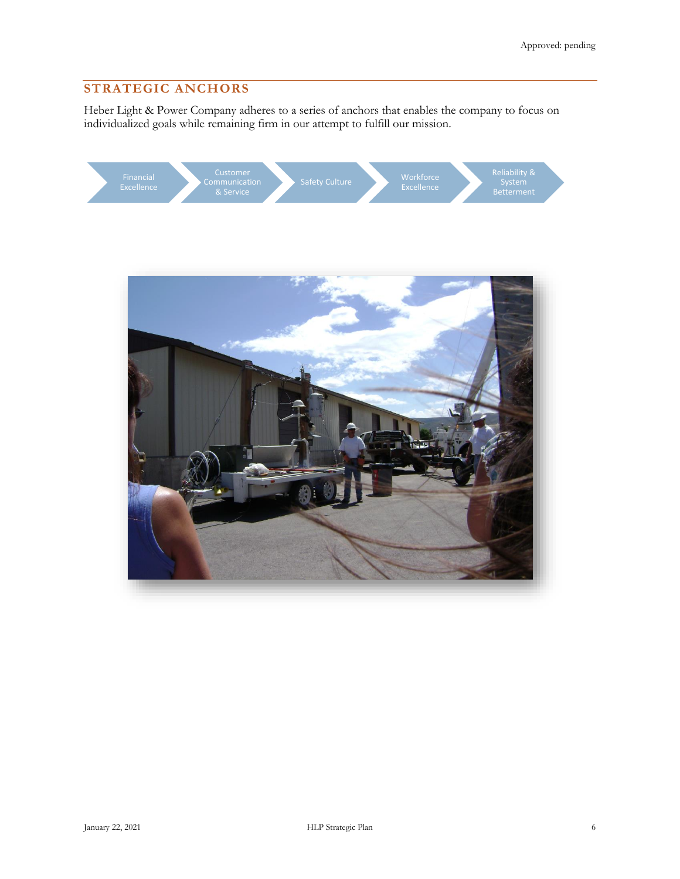# **STRATEGIC ANCHORS**

Heber Light & Power Company adheres to a series of anchors that enables the company to focus on individualized goals while remaining firm in our attempt to fulfill our mission.



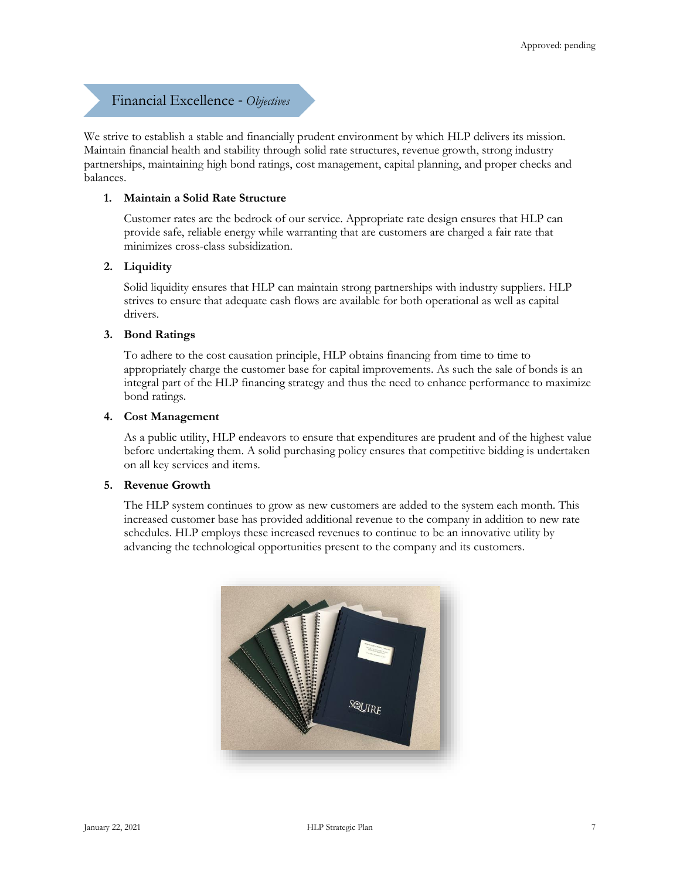# Financial Excellence - *Objectives*

We strive to establish a stable and financially prudent environment by which HLP delivers its mission. Maintain financial health and stability through solid rate structures, revenue growth, strong industry partnerships, maintaining high bond ratings, cost management, capital planning, and proper checks and balances.

## **1. Maintain a Solid Rate Structure**

Customer rates are the bedrock of our service. Appropriate rate design ensures that HLP can provide safe, reliable energy while warranting that are customers are charged a fair rate that minimizes cross-class subsidization.

#### **2. Liquidity**

Solid liquidity ensures that HLP can maintain strong partnerships with industry suppliers. HLP strives to ensure that adequate cash flows are available for both operational as well as capital drivers.

#### **3. Bond Ratings**

To adhere to the cost causation principle, HLP obtains financing from time to time to appropriately charge the customer base for capital improvements. As such the sale of bonds is an integral part of the HLP financing strategy and thus the need to enhance performance to maximize bond ratings.

#### **4. Cost Management**

As a public utility, HLP endeavors to ensure that expenditures are prudent and of the highest value before undertaking them. A solid purchasing policy ensures that competitive bidding is undertaken on all key services and items.

## **5. Revenue Growth**

The HLP system continues to grow as new customers are added to the system each month. This increased customer base has provided additional revenue to the company in addition to new rate schedules. HLP employs these increased revenues to continue to be an innovative utility by advancing the technological opportunities present to the company and its customers.

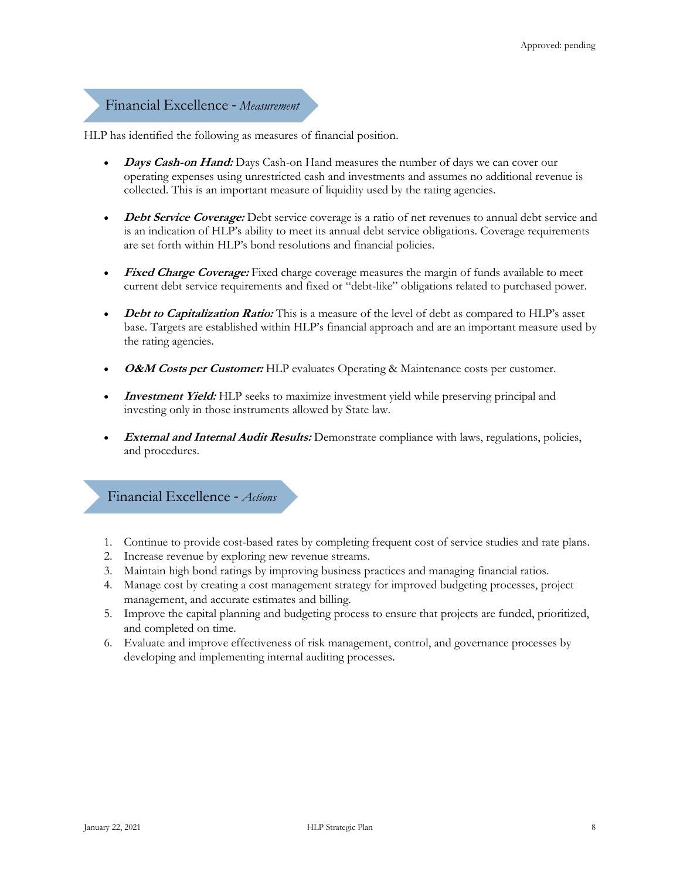# Financial Excellence - *Measurement*

HLP has identified the following as measures of financial position.

- **Days Cash-on Hand:** Days Cash-on Hand measures the number of days we can cover our operating expenses using unrestricted cash and investments and assumes no additional revenue is collected. This is an important measure of liquidity used by the rating agencies.
- **Debt Service Coverage:** Debt service coverage is a ratio of net revenues to annual debt service and is an indication of HLP's ability to meet its annual debt service obligations. Coverage requirements are set forth within HLP's bond resolutions and financial policies.
- **Fixed Charge Coverage:** Fixed charge coverage measures the margin of funds available to meet current debt service requirements and fixed or "debt-like" obligations related to purchased power.
- *Debt to Capitalization Ratio:* This is a measure of the level of debt as compared to HLP's asset base. Targets are established within HLP's financial approach and are an important measure used by the rating agencies.
- **O&M Costs per Customer:** HLP evaluates Operating & Maintenance costs per customer.
- *Investment Yield:* HLP seeks to maximize investment yield while preserving principal and investing only in those instruments allowed by State law.
- **External and Internal Audit Results:** Demonstrate compliance with laws, regulations, policies, and procedures.

Financial Excellence - *Actions*

- 1. Continue to provide cost-based rates by completing frequent cost of service studies and rate plans.
- 2. Increase revenue by exploring new revenue streams.
- 3. Maintain high bond ratings by improving business practices and managing financial ratios.
- 4. Manage cost by creating a cost management strategy for improved budgeting processes, project management, and accurate estimates and billing.
- 5. Improve the capital planning and budgeting process to ensure that projects are funded, prioritized, and completed on time.
- 6. Evaluate and improve effectiveness of risk management, control, and governance processes by developing and implementing internal auditing processes.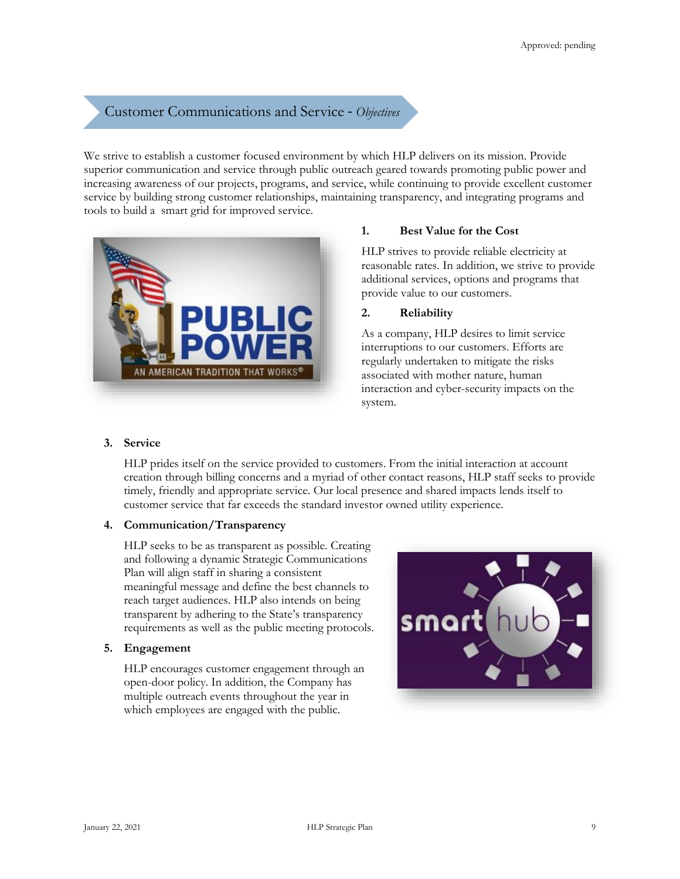# Customer Communications and Service - *Objectives*

We strive to establish a customer focused environment by which HLP delivers on its mission. Provide superior communication and service through public outreach geared towards promoting public power and increasing awareness of our projects, programs, and service, while continuing to provide excellent customer service by building strong customer relationships, maintaining transparency, and integrating programs and tools to build a smart grid for improved service.



#### **1. Best Value for the Cost**

HLP strives to provide reliable electricity at reasonable rates. In addition, we strive to provide additional services, options and programs that provide value to our customers.

## **2. Reliability**

As a company, HLP desires to limit service interruptions to our customers. Efforts are regularly undertaken to mitigate the risks associated with mother nature, human interaction and cyber-security impacts on the system.

## **3. Service**

HLP prides itself on the service provided to customers. From the initial interaction at account creation through billing concerns and a myriad of other contact reasons, HLP staff seeks to provide timely, friendly and appropriate service. Our local presence and shared impacts lends itself to customer service that far exceeds the standard investor owned utility experience.

## **4. Communication/Transparency**

HLP seeks to be as transparent as possible. Creating and following a dynamic Strategic Communications Plan will align staff in sharing a consistent meaningful message and define the best channels to reach target audiences. HLP also intends on being transparent by adhering to the State's transparency requirements as well as the public meeting protocols.

#### **5. Engagement**

HLP encourages customer engagement through an open-door policy. In addition, the Company has multiple outreach events throughout the year in which employees are engaged with the public.

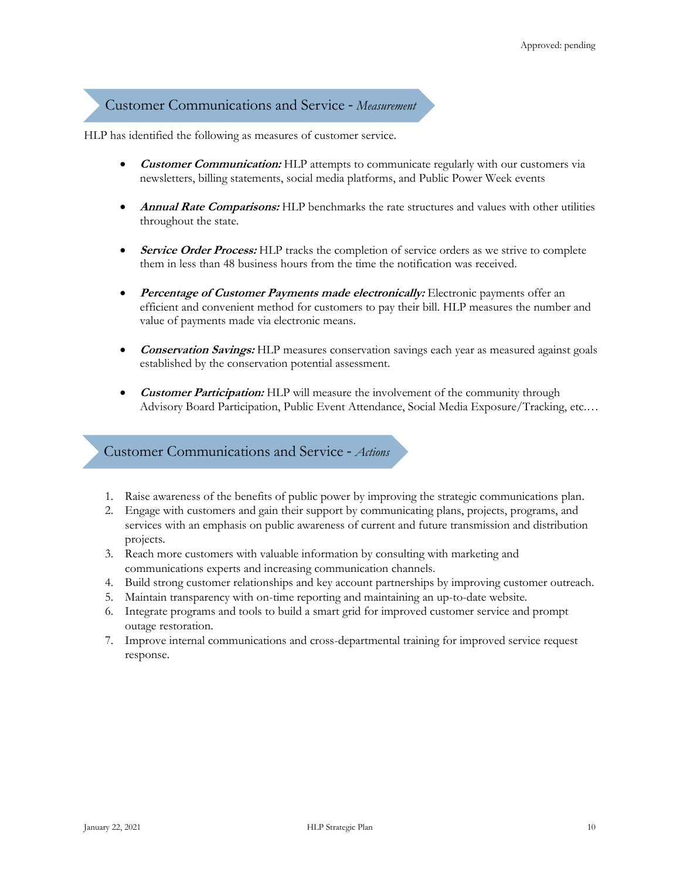# Customer Communications and Service - *Measurement*

HLP has identified the following as measures of customer service.

- **Customer Communication:** HLP attempts to communicate regularly with our customers via newsletters, billing statements, social media platforms, and Public Power Week events
- **Annual Rate Comparisons:** HLP benchmarks the rate structures and values with other utilities throughout the state.
- **Service Order Process:** HLP tracks the completion of service orders as we strive to complete them in less than 48 business hours from the time the notification was received.
- **Percentage of Customer Payments made electronically:** Electronic payments offer an efficient and convenient method for customers to pay their bill. HLP measures the number and value of payments made via electronic means.
- **Conservation Savings:** HLP measures conservation savings each year as measured against goals established by the conservation potential assessment.
- **Customer Participation:** HLP will measure the involvement of the community through Advisory Board Participation, Public Event Attendance, Social Media Exposure/Tracking, etc.…

## Customer Communications and Service - *Actions*

- 1. Raise awareness of the benefits of public power by improving the strategic communications plan.
- 2. Engage with customers and gain their support by communicating plans, projects, programs, and services with an emphasis on public awareness of current and future transmission and distribution projects.
- 3. Reach more customers with valuable information by consulting with marketing and communications experts and increasing communication channels.
- 4. Build strong customer relationships and key account partnerships by improving customer outreach.
- 5. Maintain transparency with on-time reporting and maintaining an up-to-date website.
- 6. Integrate programs and tools to build a smart grid for improved customer service and prompt outage restoration.
- 7. Improve internal communications and cross-departmental training for improved service request response.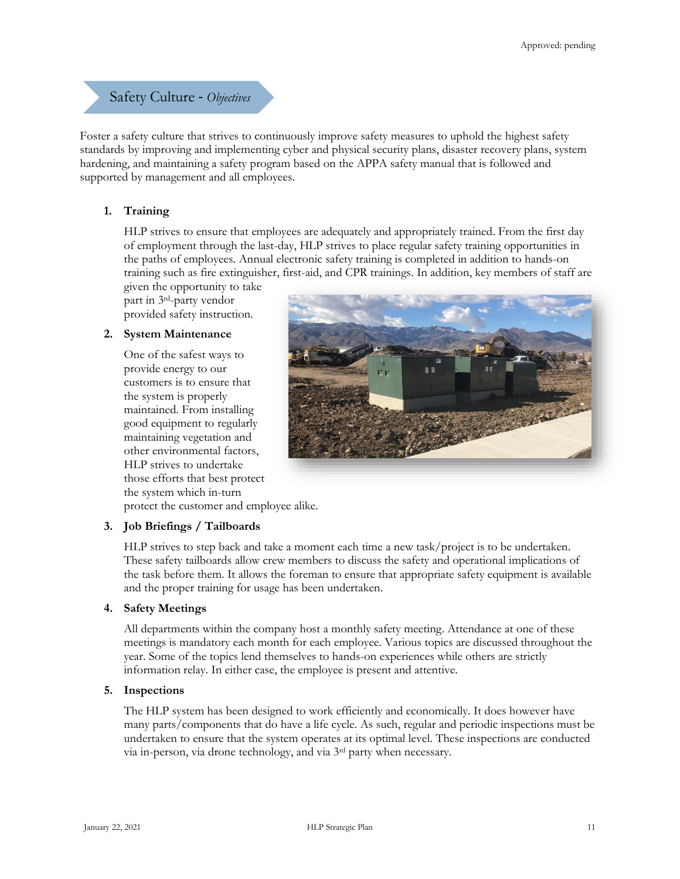Safety Culture - *Objectives*

Foster a safety culture that strives to continuously improve safety measures to uphold the highest safety standards by improving and implementing cyber and physical security plans, disaster recovery plans, system hardening, and maintaining a safety program based on the APPA safety manual that is followed and supported by management and all employees.

## **1. Training**

HLP strives to ensure that employees are adequately and appropriately trained. From the first day of employment through the last-day, HLP strives to place regular safety training opportunities in the paths of employees. Annual electronic safety training is completed in addition to hands-on training such as fire extinguisher, first-aid, and CPR trainings. In addition, key members of staff are

given the opportunity to take part in 3rd-party vendor provided safety instruction.

## **2. System Maintenance**

One of the safest ways to provide energy to our customers is to ensure that the system is properly maintained. From installing good equipment to regularly maintaining vegetation and other environmental factors, HLP strives to undertake those efforts that best protect the system which in-turn protect the customer and employee alike.



**3. Job Briefings / Tailboards**

HLP strives to step back and take a moment each time a new task/project is to be undertaken. These safety tailboards allow crew members to discuss the safety and operational implications of the task before them. It allows the foreman to ensure that appropriate safety equipment is available and the proper training for usage has been undertaken.

## **4. Safety Meetings**

All departments within the company host a monthly safety meeting. Attendance at one of these meetings is mandatory each month for each employee. Various topics are discussed throughout the year. Some of the topics lend themselves to hands-on experiences while others are strictly information relay. In either case, the employee is present and attentive.

#### **5. Inspections**

The HLP system has been designed to work efficiently and economically. It does however have many parts/components that do have a life cycle. As such, regular and periodic inspections must be undertaken to ensure that the system operates at its optimal level. These inspections are conducted via in-person, via drone technology, and via 3rd party when necessary.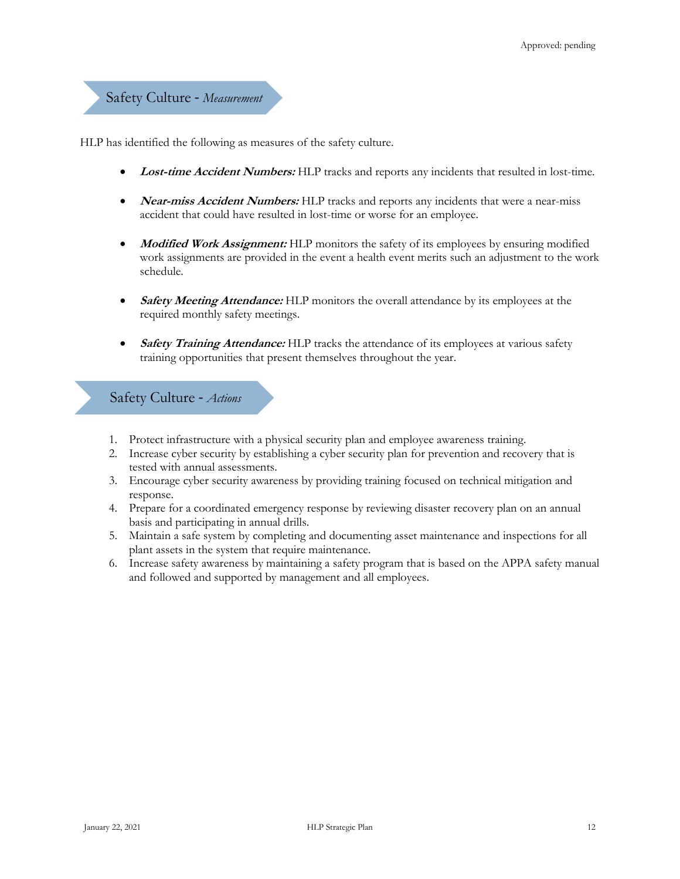Safety Culture - *Measurement*

HLP has identified the following as measures of the safety culture.

- **Lost-time Accident Numbers:** HLP tracks and reports any incidents that resulted in lost-time.
- **Near-miss Accident Numbers:** HLP tracks and reports any incidents that were a near-miss accident that could have resulted in lost-time or worse for an employee.
- **Modified Work Assignment:** HLP monitors the safety of its employees by ensuring modified work assignments are provided in the event a health event merits such an adjustment to the work schedule.
- **Safety Meeting Attendance:** HLP monitors the overall attendance by its employees at the required monthly safety meetings.
- **Safety Training Attendance:** HLP tracks the attendance of its employees at various safety training opportunities that present themselves throughout the year.

Safety Culture - *Actions*

- 1. Protect infrastructure with a physical security plan and employee awareness training.
- 2. Increase cyber security by establishing a cyber security plan for prevention and recovery that is tested with annual assessments.
- 3. Encourage cyber security awareness by providing training focused on technical mitigation and response.
- 4. Prepare for a coordinated emergency response by reviewing disaster recovery plan on an annual basis and participating in annual drills.
- 5. Maintain a safe system by completing and documenting asset maintenance and inspections for all plant assets in the system that require maintenance.
- 6. Increase safety awareness by maintaining a safety program that is based on the APPA safety manual and followed and supported by management and all employees.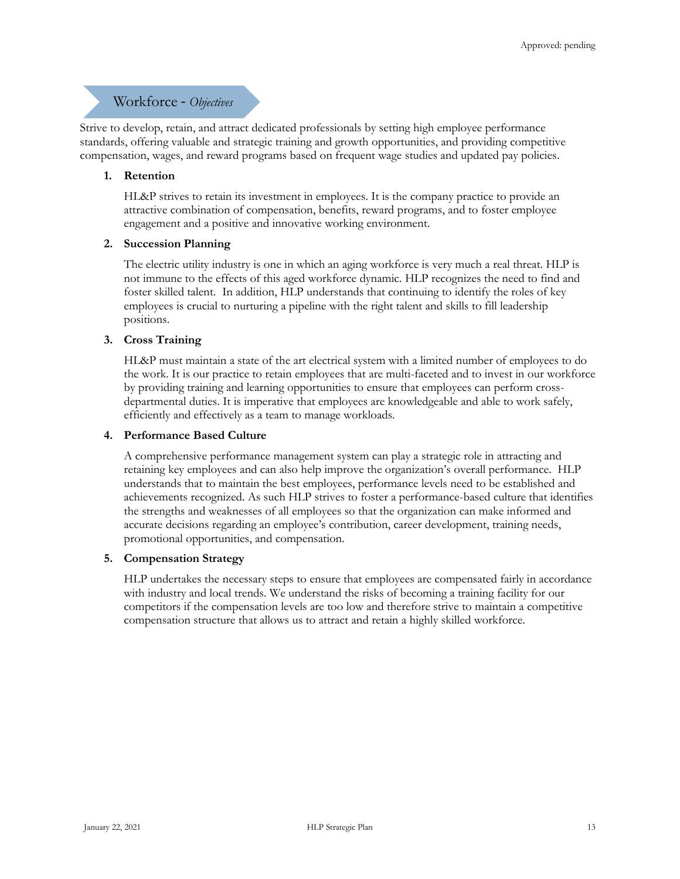## Workforce - *Objectives*

Strive to develop, retain, and attract dedicated professionals by setting high employee performance standards, offering valuable and strategic training and growth opportunities, and providing competitive compensation, wages, and reward programs based on frequent wage studies and updated pay policies.

#### **1. Retention**

HL&P strives to retain its investment in employees. It is the company practice to provide an attractive combination of compensation, benefits, reward programs, and to foster employee engagement and a positive and innovative working environment.

#### **2. Succession Planning**

The electric utility industry is one in which an aging workforce is very much a real threat. HLP is not immune to the effects of this aged workforce dynamic. HLP recognizes the need to find and foster skilled talent. In addition, HLP understands that continuing to identify the roles of key employees is crucial to nurturing a pipeline with the right talent and skills to fill leadership positions.

#### **3. Cross Training**

HL&P must maintain a state of the art electrical system with a limited number of employees to do the work. It is our practice to retain employees that are multi-faceted and to invest in our workforce by providing training and learning opportunities to ensure that employees can perform crossdepartmental duties. It is imperative that employees are knowledgeable and able to work safely, efficiently and effectively as a team to manage workloads.

#### **4. Performance Based Culture**

A comprehensive performance management system can play a strategic role in attracting and retaining key employees and can also help improve the organization's overall performance. HLP understands that to maintain the best employees, performance levels need to be established and achievements recognized. As such HLP strives to foster a performance-based culture that identifies the strengths and weaknesses of all employees so that the organization can make informed and accurate decisions regarding an employee's contribution, career development, training needs, promotional opportunities, and compensation.

#### **5. Compensation Strategy**

HLP undertakes the necessary steps to ensure that employees are compensated fairly in accordance with industry and local trends. We understand the risks of becoming a training facility for our competitors if the compensation levels are too low and therefore strive to maintain a competitive compensation structure that allows us to attract and retain a highly skilled workforce.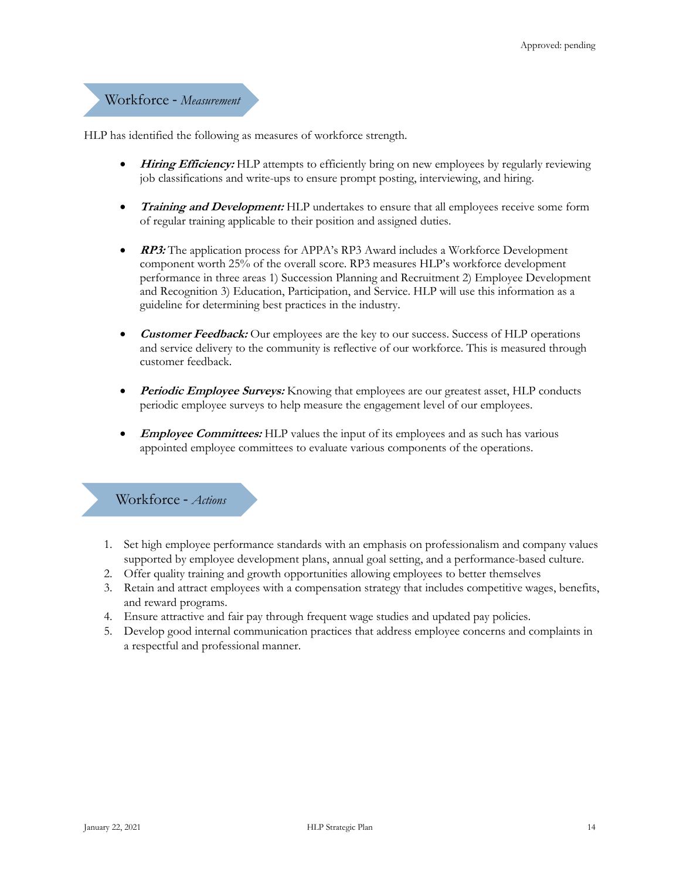# Workforce - *Measurement*

HLP has identified the following as measures of workforce strength.

- **Hiring Efficiency:** HLP attempts to efficiently bring on new employees by regularly reviewing job classifications and write-ups to ensure prompt posting, interviewing, and hiring.
- *Training and Development:* HLP undertakes to ensure that all employees receive some form of regular training applicable to their position and assigned duties.
- **RP3:** The application process for APPA's RP3 Award includes a Workforce Development component worth 25% of the overall score. RP3 measures HLP's workforce development performance in three areas 1) Succession Planning and Recruitment 2) Employee Development and Recognition 3) Education, Participation, and Service. HLP will use this information as a guideline for determining best practices in the industry.
- *Customer Feedback:* Our employees are the key to our success. Success of HLP operations and service delivery to the community is reflective of our workforce. This is measured through customer feedback.
- **Periodic Employee Surveys:** Knowing that employees are our greatest asset, HLP conducts periodic employee surveys to help measure the engagement level of our employees.
- **Employee Committees:** HLP values the input of its employees and as such has various appointed employee committees to evaluate various components of the operations.

# Workforce - *Actions*

- 1. Set high employee performance standards with an emphasis on professionalism and company values supported by employee development plans, annual goal setting, and a performance-based culture.
- 2. Offer quality training and growth opportunities allowing employees to better themselves
- 3. Retain and attract employees with a compensation strategy that includes competitive wages, benefits, and reward programs.
- 4. Ensure attractive and fair pay through frequent wage studies and updated pay policies.
- 5. Develop good internal communication practices that address employee concerns and complaints in a respectful and professional manner.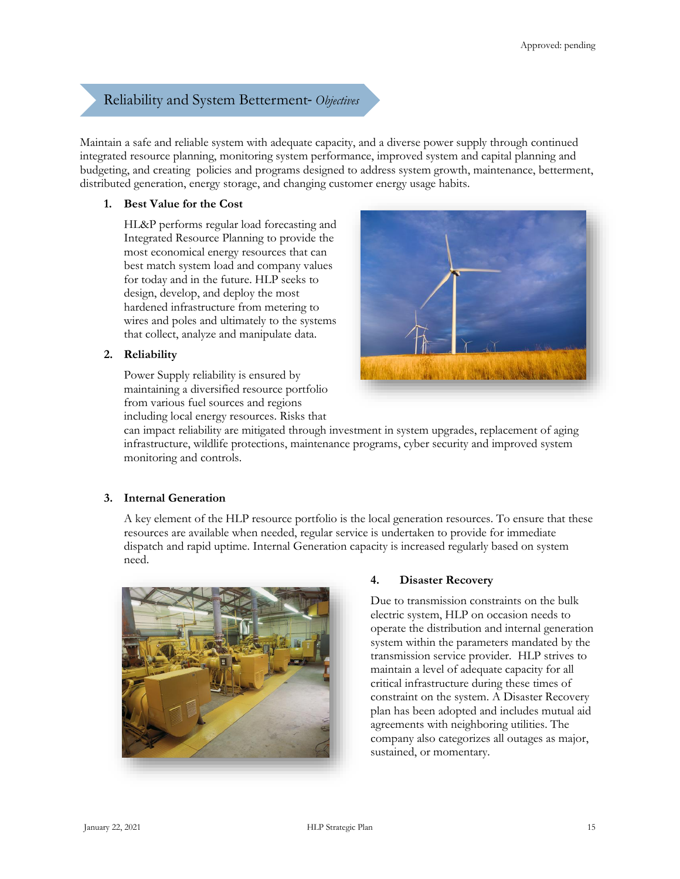# Reliability and System Betterment- *Objectives*

Maintain a safe and reliable system with adequate capacity, and a diverse power supply through continued integrated resource planning, monitoring system performance, improved system and capital planning and budgeting, and creating policies and programs designed to address system growth, maintenance, betterment, distributed generation, energy storage, and changing customer energy usage habits.

## **1. Best Value for the Cost**

HL&P performs regular load forecasting and Integrated Resource Planning to provide the most economical energy resources that can best match system load and company values for today and in the future. HLP seeks to design, develop, and deploy the most hardened infrastructure from metering to wires and poles and ultimately to the systems that collect, analyze and manipulate data.

## **2. Reliability**

Power Supply reliability is ensured by maintaining a diversified resource portfolio from various fuel sources and regions including local energy resources. Risks that



can impact reliability are mitigated through investment in system upgrades, replacement of aging infrastructure, wildlife protections, maintenance programs, cyber security and improved system monitoring and controls.

## **3. Internal Generation**

A key element of the HLP resource portfolio is the local generation resources. To ensure that these resources are available when needed, regular service is undertaken to provide for immediate dispatch and rapid uptime. Internal Generation capacity is increased regularly based on system need.



## **4. Disaster Recovery**

Due to transmission constraints on the bulk electric system, HLP on occasion needs to operate the distribution and internal generation system within the parameters mandated by the transmission service provider. HLP strives to maintain a level of adequate capacity for all critical infrastructure during these times of constraint on the system. A Disaster Recovery plan has been adopted and includes mutual aid agreements with neighboring utilities. The company also categorizes all outages as major, sustained, or momentary.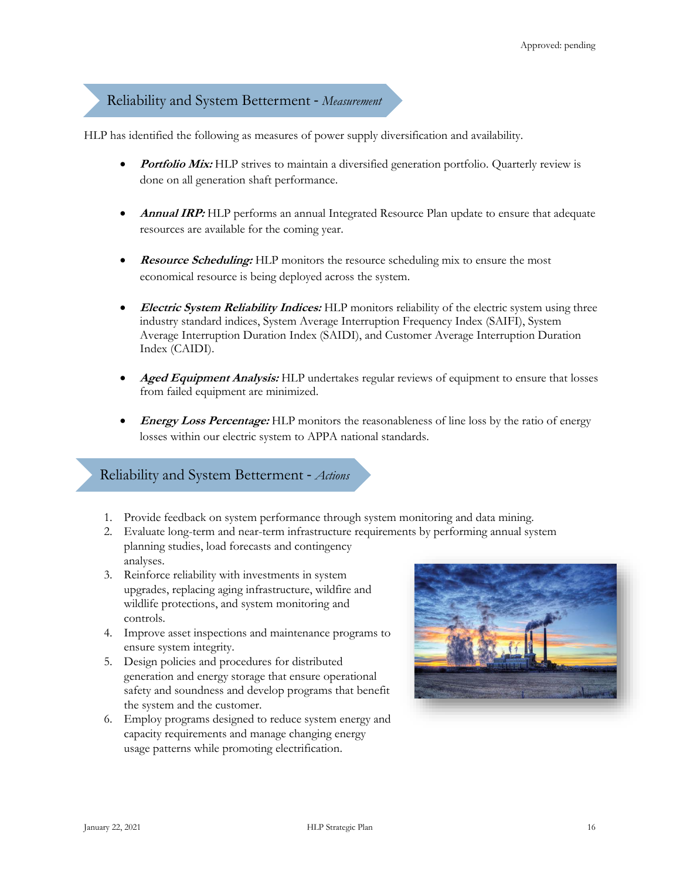## Reliability and System Betterment - *Measurement*

HLP has identified the following as measures of power supply diversification and availability.

- **Portfolio Mix:** HLP strives to maintain a diversified generation portfolio. Quarterly review is done on all generation shaft performance.
- **Annual IRP:** HLP performs an annual Integrated Resource Plan update to ensure that adequate resources are available for the coming year.
- **Resource Scheduling:** HLP monitors the resource scheduling mix to ensure the most economical resource is being deployed across the system.
- **Electric System Reliability Indices:** HLP monitors reliability of the electric system using three industry standard indices, System Average Interruption Frequency Index (SAIFI), System Average Interruption Duration Index (SAIDI), and Customer Average Interruption Duration Index (CAIDI).
- **Aged Equipment Analysis:** HLP undertakes regular reviews of equipment to ensure that losses from failed equipment are minimized.
- *Energy Loss Percentage:* HLP monitors the reasonableness of line loss by the ratio of energy losses within our electric system to APPA national standards.

## Reliability and System Betterment - *Actions*

- 1. Provide feedback on system performance through system monitoring and data mining.
- 2. Evaluate long-term and near-term infrastructure requirements by performing annual system planning studies, load forecasts and contingency analyses.
- 3. Reinforce reliability with investments in system upgrades, replacing aging infrastructure, wildfire and wildlife protections, and system monitoring and controls.
- 4. Improve asset inspections and maintenance programs to ensure system integrity.
- 5. Design policies and procedures for distributed generation and energy storage that ensure operational safety and soundness and develop programs that benefit the system and the customer.
- 6. Employ programs designed to reduce system energy and capacity requirements and manage changing energy usage patterns while promoting electrification.

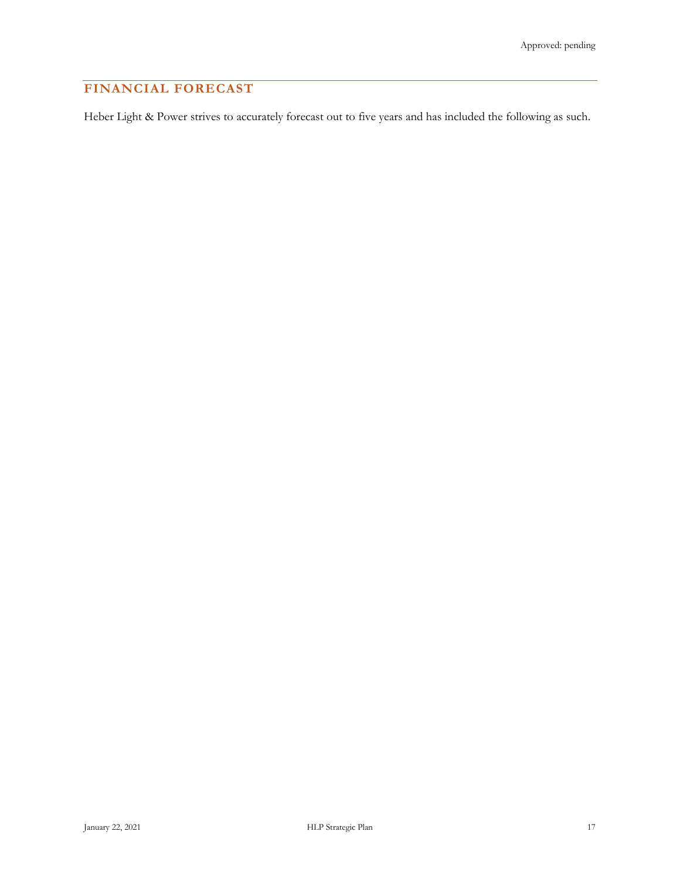# **FINANCIAL FORECAST**

Heber Light & Power strives to accurately forecast out to five years and has included the following as such.